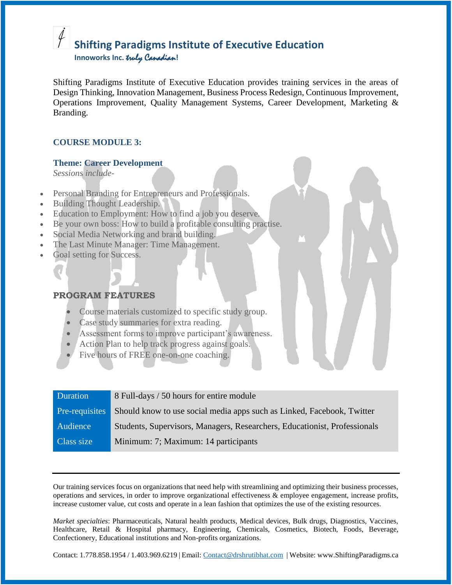# **Shifting Paradigms Institute of Executive Education**

 **Innoworks Inc.** truly Canadian**!**

Shifting Paradigms Institute of Executive Education provides training services in the areas of Design Thinking, Innovation Management, Business Process Redesign, Continuous Improvement, Operations Improvement, Quality Management Systems, Career Development, Marketing & Branding.

#### **COURSE MODULE 3:**

#### **Theme: Career Development**

*Sessions include-*

- Personal Branding for Entrepreneurs and Professionals.
- Building Thought Leadership.
- Education to Employment: How to find a job you deserve.
- Be your own boss: How to build a profitable consulting practise.
- Social Media Networking and brand building.
- The Last Minute Manager: Time Management.
- Goal setting for Success.

#### **PROGRAM FEATURES**

- Course materials customized to specific study group.
- **Case study summaries for extra reading.**
- Assessment forms to improve participant's awareness.
- Action Plan to help track progress against goals.
- Five hours of FREE one-on-one coaching.

| Duration       | 8 Full-days / 50 hours for entire module                                  |
|----------------|---------------------------------------------------------------------------|
| Pre-requisites | Should know to use social media apps such as Linked, Facebook, Twitter    |
| Audience       | Students, Supervisors, Managers, Researchers, Educationist, Professionals |
| Class size     | Minimum: 7; Maximum: 14 participants                                      |

Our training services focus on organizations that need help with streamlining and optimizing their business processes, operations and services, in order to improve organizational effectiveness & employee engagement, increase profits, increase customer value, cut costs and operate in a lean fashion that optimizes the use of the existing resources.

*Market specialties*: Pharmaceuticals, Natural health products, Medical devices, Bulk drugs, Diagnostics, Vaccines, Healthcare, Retail & Hospital pharmacy, Engineering, Chemicals, Cosmetics, Biotech, Foods, Beverage, Confectionery, Educational institutions and Non-profits organizations.

Contact: 1.778.858.1954 / 1.403.969.6219 | Email: [Contact@drshrutibhat.com](mailto:Contact@drshrutibhat.com) | Website: www.ShiftingParadigms.ca